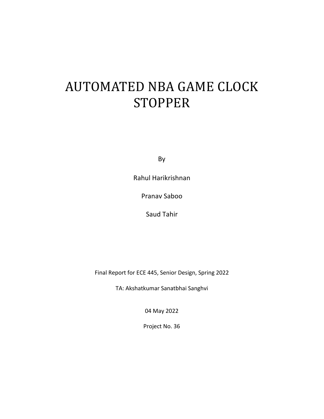# AUTOMATED NBA GAME CLOCK **STOPPER**

By

Rahul Harikrishnan

Pranav Saboo

Saud Tahir

Final Report for ECE 445, Senior Design, Spring 2022

TA: Akshatkumar Sanatbhai Sanghvi

04 May 2022

Project No. 36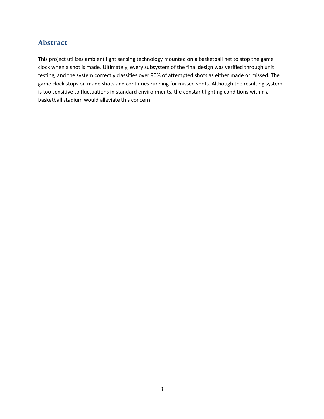## **Abstract**

This project utilizes ambient light sensing technology mounted on a basketball net to stop the game clock when a shot is made. Ultimately, every subsystem of the final design was verified through unit testing, and the system correctly classifies over 90% of attempted shots as either made or missed. The game clock stops on made shots and continues running for missed shots. Although the resulting system is too sensitive to fluctuations in standard environments, the constant lighting conditions within a basketball stadium would alleviate this concern.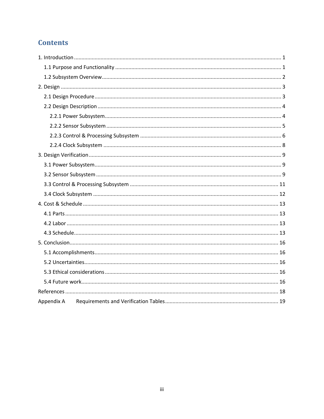# **Contents**

| Appendix A |
|------------|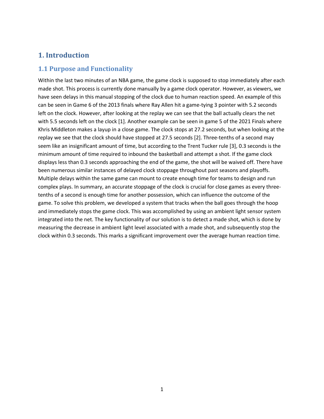#### **1. Introduction**

#### **1.1 Purpose and Functionality**

Within the last two minutes of an NBA game, the game clock is supposed to stop immediately after each made shot. This process is currently done manually by a game clock operator. However, as viewers, we have seen delays in this manual stopping of the clock due to human reaction speed. An example of this can be seen in Game 6 of the 2013 finals where Ray Allen hit a game-tying 3 pointer with 5.2 seconds left on the clock. However, after looking at the replay we can see that the ball actually clears the net with 5.5 seconds left on the clock [1]. Another example can be seen in game 5 of the 2021 Finals where Khris Middleton makes a layup in a close game. The clock stops at 27.2 seconds, but when looking at the replay we see that the clock should have stopped at 27.5 seconds [2]. Three-tenths of a second may seem like an insignificant amount of time, but according to the Trent Tucker rule [3], 0.3 seconds is the minimum amount of time required to inbound the basketball and attempt a shot. If the game clock displays less than 0.3 seconds approaching the end of the game, the shot will be waived off. There have been numerous similar instances of delayed clock stoppage throughout past seasons and playoffs. Multiple delays within the same game can mount to create enough time for teams to design and run complex plays. In summary, an accurate stoppage of the clock is crucial for close games as every threetenths of a second is enough time for another possession, which can influence the outcome of the game. To solve this problem, we developed a system that tracks when the ball goes through the hoop and immediately stops the game clock. This was accomplished by using an ambient light sensor system integrated into the net. The key functionality of our solution is to detect a made shot, which is done by measuring the decrease in ambient light level associated with a made shot, and subsequently stop the clock within 0.3 seconds. This marks a significant improvement over the average human reaction time.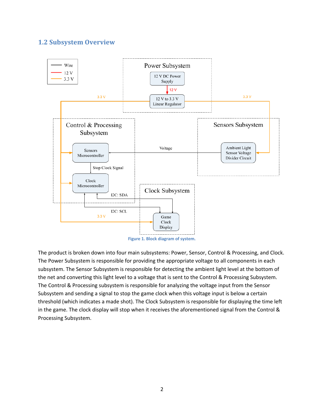#### **1.2 Subsystem Overview**



**Figure 1. Block diagram of system.**

The product is broken down into four main subsystems: Power, Sensor, Control & Processing, and Clock. The Power Subsystem is responsible for providing the appropriate voltage to all components in each subsystem. The Sensor Subsystem is responsible for detecting the ambient light level at the bottom of the net and converting this light level to a voltage that is sent to the Control & Processing Subsystem. The Control & Processing subsystem is responsible for analyzing the voltage input from the Sensor Subsystem and sending a signal to stop the game clock when this voltage input is below a certain threshold (which indicates a made shot). The Clock Subsystem is responsible for displaying the time left in the game. The clock display will stop when it receives the aforementioned signal from the Control & Processing Subsystem.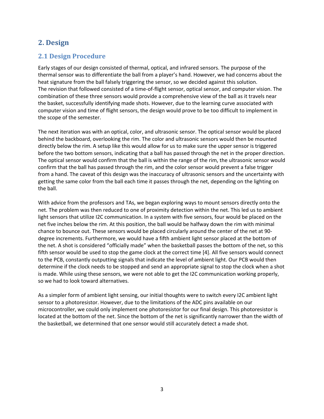## **2. Design**

#### **2.1 Design Procedure**

Early stages of our design consisted of thermal, optical, and infrared sensors. The purpose of the thermal sensor was to differentiate the ball from a player's hand. However, we had concerns about the heat signature from the ball falsely triggering the sensor, so we decided against this solution. The revision that followed consisted of a time-of-flight sensor, optical sensor, and computer vision. The combination of these three sensors would provide a comprehensive view of the ball as it travels near the basket, successfully identifying made shots. However, due to the learning curve associated with computer vision and time of flight sensors, the design would prove to be too difficult to implement in the scope of the semester.

The next iteration was with an optical, color, and ultrasonic sensor. The optical sensor would be placed behind the backboard, overlooking the rim. The color and ultrasonic sensors would then be mounted directly below the rim. A setup like this would allow for us to make sure the upper sensor is triggered before the two bottom sensors, indicating that a ball has passed through the net in the proper direction. The optical sensor would confirm that the ball is within the range of the rim, the ultrasonic sensor would confirm that the ball has passed through the rim, and the color sensor would prevent a false trigger from a hand. The caveat of this design was the inaccuracy of ultrasonic sensors and the uncertainty with getting the same color from the ball each time it passes through the net, depending on the lighting on the ball.

With advice from the professors and TAs, we began exploring ways to mount sensors directly onto the net. The problem was then reduced to one of proximity detection within the net. This led us to ambient light sensors that utilize I2C communication. In a system with five sensors, four would be placed on the net five inches below the rim. At this position, the ball would be halfway down the rim with minimal chance to bounce out. These sensors would be placed circularly around the center of the net at 90 degree increments. Furthermore, we would have a fifth ambient light sensor placed at the bottom of the net. A shot is considered "officially made" when the basketball passes the bottom of the net, so this fifth sensor would be used to stop the game clock at the correct time [4]. All five sensors would connect to the PCB, constantly outputting signals that indicate the level of ambient light. Our PCB would then determine if the clock needs to be stopped and send an appropriate signal to stop the clock when a shot is made. While using these sensors, we were not able to get the I2C communication working properly, so we had to look toward alternatives.

As a simpler form of ambient light sensing, our initial thoughts were to switch every I2C ambient light sensor to a photoresistor. However, due to the limitations of the ADC pins available on our microcontroller, we could only implement one photoresistor for our final design. This photoresistor is located at the bottom of the net. Since the bottom of the net is significantly narrower than the width of the basketball, we determined that one sensor would still accurately detect a made shot.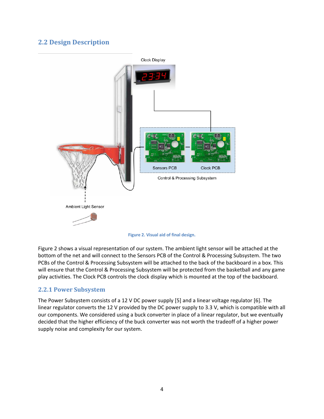## **2.2 Design Description**



**Figure 2. Visual aid of final design.**

Figure 2 shows a visual representation of our system. The ambient light sensor will be attached at the bottom of the net and will connect to the Sensors PCB of the Control & Processing Subsystem. The two PCBs of the Control & Processing Subsystem will be attached to the back of the backboard in a box. This will ensure that the Control & Processing Subsystem will be protected from the basketball and any game play activities. The Clock PCB controls the clock display which is mounted at the top of the backboard.

#### **2.2.1 Power Subsystem**

The Power Subsystem consists of a 12 V DC power supply [5] and a linear voltage regulator [6]. The linear regulator converts the 12 V provided by the DC power supply to 3.3 V, which is compatible with all our components. We considered using a buck converter in place of a linear regulator, but we eventually decided that the higher efficiency of the buck converter was not worth the tradeoff of a higher power supply noise and complexity for our system.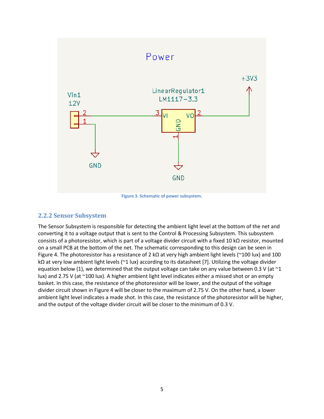

**Figure 3. Schematic of power subsystem.**

#### **2.2.2 Sensor Subsystem**

The Sensor Subsystem is responsible for detecting the ambient light level at the bottom of the net and converting it to a voltage output that is sent to the Control & Processing Subsystem. This subsystem consists of a photoresistor, which is part of a voltage divider circuit with a fixed 10 kΩ resistor, mounted on a small PCB at the bottom of the net. The schematic corresponding to this design can be seen in Figure 4. The photoresistor has a resistance of 2 kΩ at very high ambient light levels (~100 lux) and 100 kΩ at very low ambient light levels (~1 lux) according to its datasheet [7]. Utilizing the voltage divider equation below (1), we determined that the output voltage can take on any value between 0.3 V (at  $\sim$ 1 lux) and 2.75 V (at ~100 lux). A higher ambient light level indicates either a missed shot or an empty basket. In this case, the resistance of the photoresistor will be lower, and the output of the voltage divider circuit shown in Figure 4 will be closer to the maximum of 2.75 V. On the other hand, a lower ambient light level indicates a made shot. In this case, the resistance of the photoresistor will be higher, and the output of the voltage divider circuit will be closer to the minimum of 0.3 V.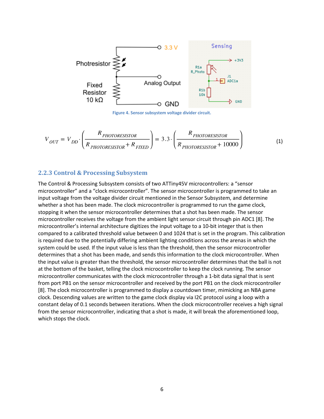

**Figure 4. Sensor subsystem voltage divider circuit.**

$$
V_{OUT} = V_{DD} \cdot \left(\frac{R_{PHOTORESISTOR}}{R_{PHOTORESISTOR} + R_{FKED}}\right) = 3.3 \cdot \left(\frac{R_{PHOTORESISTOR}}{R_{PHOTORESISTOR} + 10000}\right)
$$
(1)

#### **2.2.3 Control & Processing Subsystem**

The Control & Processing Subsystem consists of two ATTiny45V microcontrollers: a "sensor microcontroller" and a "clock microcontroller". The sensor microcontroller is programmed to take an input voltage from the voltage divider circuit mentioned in the Sensor Subsystem, and determine whether a shot has been made. The clock microcontroller is programmed to run the game clock, stopping it when the sensor microcontroller determines that a shot has been made. The sensor microcontroller receives the voltage from the ambient light sensor circuit through pin ADC1 [8]. The microcontroller's internal architecture digitizes the input voltage to a 10-bit integer that is then compared to a calibrated threshold value between 0 and 1024 that is set in the program. This calibration is required due to the potentially differing ambient lighting conditions across the arenas in which the system could be used. If the input value is less than the threshold, then the sensor microcontroller determines that a shot has been made, and sends this information to the clock microcontroller. When the input value is greater than the threshold, the sensor microcontroller determines that the ball is not at the bottom of the basket, telling the clock microcontroller to keep the clock running. The sensor microcontroller communicates with the clock microcontroller through a 1-bit data signal that is sent from port PB1 on the sensor microcontroller and received by the port PB1 on the clock microcontroller [8]. The clock microcontroller is programmed to display a countdown timer, mimicking an NBA game clock. Descending values are written to the game clock display via I2C protocol using a loop with a constant delay of 0.1 seconds between iterations. When the clock microcontroller receives a high signal from the sensor microcontroller, indicating that a shot is made, it will break the aforementioned loop, which stops the clock.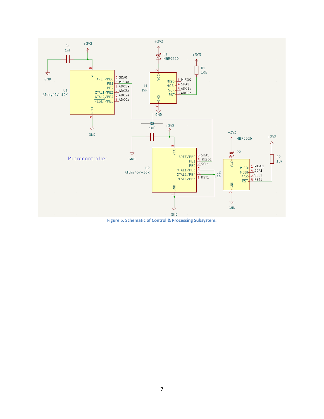

**Figure 5. Schematic of Control & Processing Subsystem.**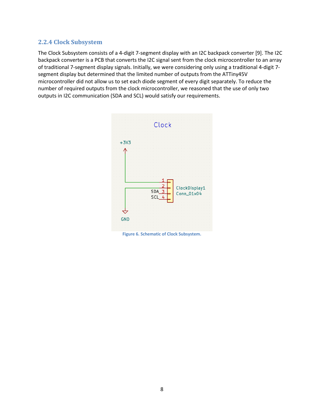#### **2.2.4 Clock Subsystem**

The Clock Subsystem consists of a 4-digit 7-segment display with an I2C backpack converter [9]. The I2C backpack converter is a PCB that converts the I2C signal sent from the clock microcontroller to an array of traditional 7-segment display signals. Initially, we were considering only using a traditional 4-digit 7 segment display but determined that the limited number of outputs from the ATTiny45V microcontroller did not allow us to set each diode segment of every digit separately. To reduce the number of required outputs from the clock microcontroller, we reasoned that the use of only two outputs in I2C communication (SDA and SCL) would satisfy our requirements.



**Figure 6. Schematic of Clock Subsystem.**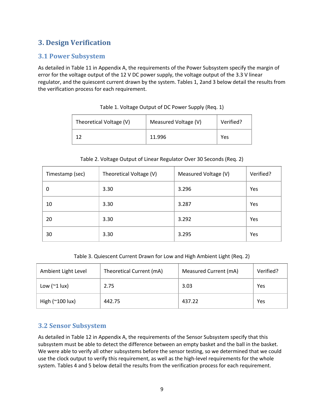# **3. Design Verification**

#### **3.1 Power Subsystem**

As detailed in Table 11 in Appendix A, the requirements of the Power Subsystem specify the margin of error for the voltage output of the 12 V DC power supply, the voltage output of the 3.3 V linear regulator, and the quiescent current drawn by the system. Tables 1, 2and 3 below detail the results from the verification process for each requirement.

| Theoretical Voltage (V) | Measured Voltage (V) | Verified? |
|-------------------------|----------------------|-----------|
|                         | 11.996               | Yes       |

#### Table 1. Voltage Output of DC Power Supply (Req. 1)

#### Table 2. Voltage Output of Linear Regulator Over 30 Seconds (Req. 2)

| Timestamp (sec) | Theoretical Voltage (V) | Measured Voltage (V) | Verified? |
|-----------------|-------------------------|----------------------|-----------|
| 0               | 3.30                    | 3.296                | Yes       |
| 10              | 3.30                    | 3.287                | Yes       |
| 20              | 3.30                    | 3.292                | Yes       |
| 30              | 3.30                    | 3.295                | Yes       |

Table 3. Quiescent Current Drawn for Low and High Ambient Light (Req. 2)

| Ambient Light Level           | Theoretical Current (mA) | Measured Current (mA) | Verified? |
|-------------------------------|--------------------------|-----------------------|-----------|
| Low $(21 \text{ lux})$        | 2.75                     | 3.03                  | Yes       |
| High $(\sim 100 \text{ lux})$ | 442.75                   | 437.22                | Yes       |

#### **3.2 Sensor Subsystem**

As detailed in Table 12 in Appendix A, the requirements of the Sensor Subsystem specify that this subsystem must be able to detect the difference between an empty basket and the ball in the basket. We were able to verify all other subsystems before the sensor testing, so we determined that we could use the clock output to verify this requirement, as well as the high-level requirements for the whole system. Tables 4 and 5 below detail the results from the verification process for each requirement.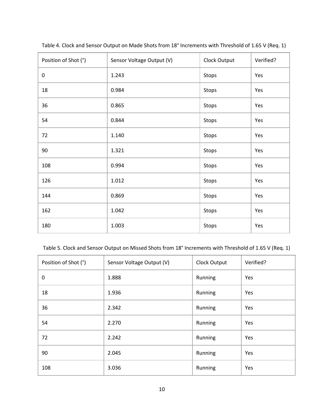| Position of Shot (°) | Sensor Voltage Output (V) | Clock Output | Verified? |
|----------------------|---------------------------|--------------|-----------|
| $\pmb{0}$            | 1.243                     | Stops        | Yes       |
| 18                   | 0.984                     | Stops        | Yes       |
| 36                   | 0.865                     | Stops        | Yes       |
| 54                   | 0.844                     | Stops        | Yes       |
| 72                   | 1.140                     | Stops        | Yes       |
| 90                   | 1.321                     | Stops        | Yes       |
| 108                  | 0.994                     | Stops        | Yes       |
| 126                  | 1.012                     | Stops        | Yes       |
| 144                  | 0.869                     | Stops        | Yes       |
| 162                  | 1.042                     | Stops        | Yes       |
| 180                  | 1.003                     | Stops        | Yes       |

Table 4. Clock and Sensor Output on Made Shots from 18° Increments with Threshold of 1.65 V (Req. 1)

Table 5. Clock and Sensor Output on Missed Shots from 18° Increments with Threshold of 1.65 V (Req. 1)

| Position of Shot (°) | Sensor Voltage Output (V) | Clock Output | Verified? |
|----------------------|---------------------------|--------------|-----------|
| 0                    | 1.888                     | Running      | Yes       |
| 18                   | 1.936                     | Running      | Yes       |
| 36                   | 2.342                     | Running      | Yes       |
| 54                   | 2.270                     | Running      | Yes       |
| 72                   | 2.242                     | Running      | Yes       |
| 90                   | 2.045                     | Running      | Yes       |
| 108                  | 3.036                     | Running      | Yes       |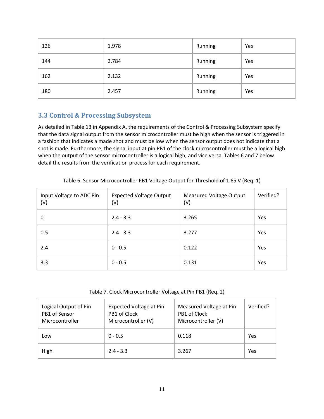| 126 | 1.978 | Running | Yes |
|-----|-------|---------|-----|
| 144 | 2.784 | Running | Yes |
| 162 | 2.132 | Running | Yes |
| 180 | 2.457 | Running | Yes |

#### **3.3 Control & Processing Subsystem**

As detailed in Table 13 in Appendix A, the requirements of the Control & Processing Subsystem specify that the data signal output from the sensor microcontroller must be high when the sensor is triggered in a fashion that indicates a made shot and must be low when the sensor output does not indicate that a shot is made. Furthermore, the signal input at pin PB1 of the clock microcontroller must be a logical high when the output of the sensor microcontroller is a logical high, and vice versa. Tables 6 and 7 below detail the results from the verification process for each requirement.

| Input Voltage to ADC Pin<br>(V) | <b>Expected Voltage Output</b><br>(V) | <b>Measured Voltage Output</b><br>(V) | Verified? |
|---------------------------------|---------------------------------------|---------------------------------------|-----------|
| $\Omega$                        | $2.4 - 3.3$                           | 3.265                                 | Yes       |
| 0.5                             | $2.4 - 3.3$                           | 3.277                                 | Yes       |
| 2.4                             | $0 - 0.5$                             | 0.122                                 | Yes       |
| 3.3                             | $0 - 0.5$                             | 0.131                                 | Yes       |

Table 6. Sensor Microcontroller PB1 Voltage Output for Threshold of 1.65 V (Req. 1)

Table 7. Clock Microcontroller Voltage at Pin PB1 (Req. 2)

| Logical Output of Pin<br>PB1 of Sensor<br>Microcontroller | Expected Voltage at Pin<br>PB1 of Clock<br>Microcontroller (V) | Measured Voltage at Pin<br>PB1 of Clock<br>Microcontroller (V) | Verified? |
|-----------------------------------------------------------|----------------------------------------------------------------|----------------------------------------------------------------|-----------|
| Low                                                       | $0 - 0.5$                                                      | 0.118                                                          | Yes       |
| High                                                      | $2.4 - 3.3$                                                    | 3.267                                                          | Yes       |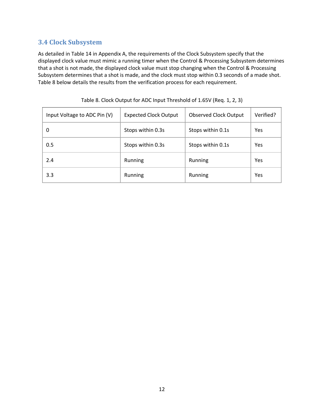#### **3.4 Clock Subsystem**

As detailed in Table 14 in Appendix A, the requirements of the Clock Subsystem specify that the displayed clock value must mimic a running timer when the Control & Processing Subsystem determines that a shot is not made, the displayed clock value must stop changing when the Control & Processing Subsystem determines that a shot is made, and the clock must stop within 0.3 seconds of a made shot. Table 8 below details the results from the verification process for each requirement.

| Input Voltage to ADC Pin (V) | <b>Expected Clock Output</b> | <b>Observed Clock Output</b> | Verified? |
|------------------------------|------------------------------|------------------------------|-----------|
| 0                            | Stops within 0.3s            | Stops within 0.1s            | Yes       |
| 0.5                          | Stops within 0.3s            | Stops within 0.1s            | Yes       |
| 2.4                          | Running                      | Running                      | Yes       |
| 3.3                          | Running                      | Running                      | Yes       |

Table 8. Clock Output for ADC Input Threshold of 1.65V (Req. 1, 2, 3)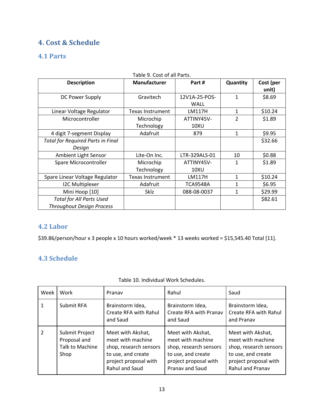# **4. Cost & Schedule**

# **4.1 Parts**

| <b>Description</b>                       | Manufacturer            | Part#                        | Quantity       | Cost (per<br>unit) |
|------------------------------------------|-------------------------|------------------------------|----------------|--------------------|
| DC Power Supply                          | Gravitech               | 12V1A-25-POS-<br><b>WALL</b> | 1              | \$8.69             |
| Linear Voltage Regulator                 | <b>Texas Instrument</b> | LM117H                       | 1              | \$10.24            |
| Microcontroller                          | Microchip               | ATTINY45V-                   | $\overline{2}$ | \$1.89             |
|                                          | Technology              | 10XU                         |                |                    |
| 4 digit 7-segment Display                | Adafruit                | 879                          | 1              | \$9.95             |
| <b>Total for Required Parts in Final</b> |                         |                              |                | \$32.66            |
| Design                                   |                         |                              |                |                    |
| Ambient Light Sensor                     | Lite-On Inc.            | LTR-329ALS-01                | 10             | \$0.88             |
| Spare Microcontroller                    | Microchip               | ATTINY45V-                   | 1              | \$1.89             |
|                                          | Technology              | 10XU                         |                |                    |
| Spare Linear Voltage Regulator           | <b>Texas Instrument</b> | LM117H                       | 1              | \$10.24            |
| <b>I2C Multiplexer</b>                   | Adafruit                | <b>TCA9548A</b>              | 1              | \$6.95             |
| Mini Hoop [10]                           | Sklz                    | 088-08-0037                  | 1              | \$29.99            |
| <b>Total for All Parts Used</b>          |                         |                              |                | \$82.61            |
| <b>Throughout Design Process</b>         |                         |                              |                |                    |

Table 9. Cost of all Parts.

## **4.2 Labor**

\$39.86/person/hour x 3 people x 10 hours worked/week \* 13 weeks worked = \$15,545.40 Total [11].

#### **4.3 Schedule**

| Week          | Work                                                      | Pranav                                                                                                                            | Rahul                                                                                                                                     | Saud                                                                                                                                       |
|---------------|-----------------------------------------------------------|-----------------------------------------------------------------------------------------------------------------------------------|-------------------------------------------------------------------------------------------------------------------------------------------|--------------------------------------------------------------------------------------------------------------------------------------------|
| 1             | Submit RFA                                                | Brainstorm Idea,<br>Create RFA with Rahul<br>and Saud                                                                             | Brainstorm Idea,<br>Create RFA with Pranav<br>and Saud                                                                                    | Brainstorm Idea,<br>Create RFA with Rahul<br>and Pranav                                                                                    |
| $\mathcal{P}$ | Submit Project<br>Proposal and<br>Talk to Machine<br>Shop | Meet with Akshat,<br>meet with machine<br>shop, research sensors<br>to use, and create<br>project proposal with<br>Rahul and Saud | Meet with Akshat,<br>meet with machine<br>shop, research sensors<br>to use, and create<br>project proposal with<br><b>Pranav and Saud</b> | Meet with Akshat,<br>meet with machine<br>shop, research sensors<br>to use, and create<br>project proposal with<br><b>Rahul and Pranav</b> |

Table 10. Individual Work Schedules.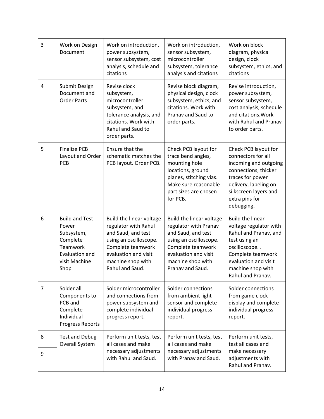| $\overline{3}$ | Work on Design<br>Document                                                                                      | Work on introduction,<br>power subsystem,<br>sensor subsystem, cost<br>analysis, schedule and<br>citations                                                                            | Work on introduction,<br>sensor subsystem,<br>microcontroller<br>subsystem, tolerance<br>analysis and citations                                                                         | Work on block<br>diagram, physical<br>design, clock<br>subsystem, ethics, and<br>citations                                                                                                         |
|----------------|-----------------------------------------------------------------------------------------------------------------|---------------------------------------------------------------------------------------------------------------------------------------------------------------------------------------|-----------------------------------------------------------------------------------------------------------------------------------------------------------------------------------------|----------------------------------------------------------------------------------------------------------------------------------------------------------------------------------------------------|
| $\overline{4}$ | Submit Design<br>Document and<br><b>Order Parts</b>                                                             | Revise clock<br>subsystem,<br>microcontroller<br>subsystem, and<br>tolerance analysis, and<br>citations. Work with<br>Rahul and Saud to<br>order parts.                               | Revise block diagram,<br>physical design, clock<br>subsystem, ethics, and<br>citations. Work with<br>Pranav and Saud to<br>order parts.                                                 | Revise introduction,<br>power subsystem,<br>sensor subsystem,<br>cost analysis, schedule<br>and citations. Work<br>with Rahul and Pranav<br>to order parts.                                        |
| 5              | <b>Finalize PCB</b><br>Layout and Order<br>PCB                                                                  | Ensure that the<br>schematic matches the<br>PCB layout. Order PCB.                                                                                                                    | Check PCB layout for<br>trace bend angles,<br>mounting hole<br>locations, ground<br>planes, stitching vias.<br>Make sure reasonable<br>part sizes are chosen<br>for PCB.                | Check PCB layout for<br>connectors for all<br>incoming and outgoing<br>connections, thicker<br>traces for power<br>delivery, labeling on<br>silkscreen layers and<br>extra pins for<br>debugging.  |
| 6              | <b>Build and Test</b><br>Power<br>Subsystem,<br>Complete<br>Teamwork<br>Evaluation and<br>visit Machine<br>Shop | Build the linear voltage<br>regulator with Rahul<br>and Saud, and test<br>using an oscilloscope.<br>Complete teamwork<br>evaluation and visit<br>machine shop with<br>Rahul and Saud. | Build the linear voltage<br>regulator with Pranav<br>and Saud, and test<br>using an oscilloscope.<br>Complete teamwork<br>evaluation and visit<br>machine shop with<br>Pranav and Saud. | <b>Build the linear</b><br>voltage regulator with<br>Rahul and Pranav, and<br>test using an<br>oscilloscope<br>Complete teamwork<br>evaluation and visit<br>machine shop with<br>Rahul and Pranav. |
| $\overline{7}$ | Solder all<br>Components to<br>PCB and<br>Complete<br>Individual<br>Progress Reports                            | Solder microcontroller<br>and connections from<br>power subsystem and<br>complete individual<br>progress report.                                                                      | Solder connections<br>from ambient light<br>sensor and complete<br>individual progress<br>report.                                                                                       | Solder connections<br>from game clock<br>display and complete<br>individual progress<br>report.                                                                                                    |
| 8<br>9         | <b>Test and Debug</b><br>Overall System                                                                         | Perform unit tests, test<br>all cases and make<br>necessary adjustments<br>with Rahul and Saud.                                                                                       | Perform unit tests, test<br>all cases and make<br>necessary adjustments<br>with Pranav and Saud.                                                                                        | Perform unit tests,<br>test all cases and<br>make necessary<br>adjustments with<br>Rahul and Pranav.                                                                                               |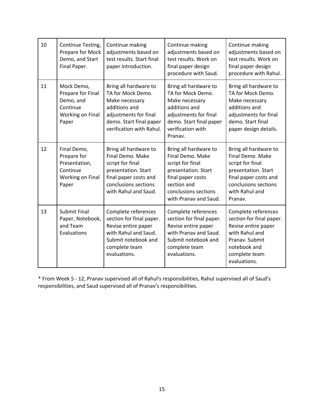| 10 | Continue Testing,<br>Prepare for Mock<br>Demo, and Start<br>Final Paper.              | Continue making<br>adjustments based on<br>test results. Start final<br>paper introduction.                                                                   | Continue making<br>adjustments based on<br>test results. Work on<br>final paper design<br>procedure with Saud.                                                            | Continue making<br>adjustments based on<br>test results. Work on<br>final paper design<br>procedure with Rahul.                                                    |
|----|---------------------------------------------------------------------------------------|---------------------------------------------------------------------------------------------------------------------------------------------------------------|---------------------------------------------------------------------------------------------------------------------------------------------------------------------------|--------------------------------------------------------------------------------------------------------------------------------------------------------------------|
| 11 | Mock Demo,<br>Prepare for Final<br>Demo, and<br>Continue<br>Working on Final<br>Paper | Bring all hardware to<br>TA for Mock Demo.<br>Make necessary<br>additions and<br>adjustments for final<br>demo. Start final paper<br>verification with Rahul. | Bring all hardware to<br>TA for Mock Demo.<br>Make necessary<br>additions and<br>adjustments for final<br>demo. Start final paper<br>verification with<br>Pranav.         | Bring all hardware to<br>TA for Mock Demo.<br>Make necessary<br>additions and<br>adjustments for final<br>demo. Start final<br>paper design details.               |
| 12 | Final Demo,<br>Prepare for<br>Presentation,<br>Continue<br>Working on Final<br>Paper  | Bring all hardware to<br>Final Demo. Make<br>script for final<br>presentation. Start<br>final paper costs and<br>conclusions sections<br>with Rahul and Saud. | Bring all hardware to<br>Final Demo. Make<br>script for final<br>presentation. Start<br>final paper costs<br>section and<br>conclusions sections<br>with Pranav and Saud. | Bring all hardware to<br>Final Demo. Make<br>script for final<br>presentation. Start<br>final paper costs and<br>conclusions sections<br>with Rahul and<br>Pranav. |
| 13 | <b>Submit Final</b><br>Paper, Notebook,<br>and Team<br>Evaluations                    | Complete references<br>section for final paper.<br>Revise entire paper<br>with Rahul and Saud.<br>Submit notebook and<br>complete team<br>evaluations.        | Complete references<br>section for final paper.<br>Revise entire paper<br>with Pranav and Saud.<br>Submit notebook and<br>complete team<br>evaluations.                   | Complete references<br>section for final paper.<br>Revise entire paper<br>with Rahul and<br>Pranav. Submit<br>notebook and<br>complete team<br>evaluations.        |

\* From Week 5 - 12, Pranav supervised all of Rahul's responsibilities, Rahul supervised all of Saud's responsibilities, and Saud supervised all of Pranav's responsibilities.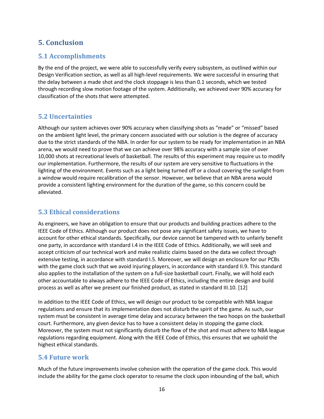# **5. Conclusion**

## **5.1 Accomplishments**

By the end of the project, we were able to successfully verify every subsystem, as outlined within our Design Verification section, as well as all high-level requirements. We were successful in ensuring that the delay between a made shot and the clock stoppage is less than 0.1 seconds, which we tested through recording slow motion footage of the system. Additionally, we achieved over 90% accuracy for classification of the shots that were attempted.

#### **5.2 Uncertainties**

Although our system achieves over 90% accuracy when classifying shots as "made" or "missed" based on the ambient light level, the primary concern associated with our solution is the degree of accuracy due to the strict standards of the NBA. In order for our system to be ready for implementation in an NBA arena, we would need to prove that we can achieve over 98% accuracy with a sample size of over 10,000 shots at recreational levels of basketball. The results of this experiment may require us to modify our implementation. Furthermore, the results of our system are very sensitive to fluctuations in the lighting of the environment. Events such as a light being turned off or a cloud covering the sunlight from a window would require recalibration of the sensor. However, we believe that an NBA arena would provide a consistent lighting environment for the duration of the game, so this concern could be alleviated.

#### **5.3 Ethical considerations**

As engineers, we have an obligation to ensure that our products and building practices adhere to the IEEE Code of Ethics. Although our product does not pose any significant safety issues, we have to account for other ethical standards. Specifically, our device cannot be tampered with to unfairly benefit one party, in accordance with standard I.4 in the IEEE Code of Ethics. Additionally, we will seek and accept criticism of our technical work and make realistic claims based on the data we collect through extensive testing, in accordance with standard I.5. Moreover, we will design an enclosure for our PCBs with the game clock such that we avoid injuring players, in accordance with standard II.9. This standard also applies to the installation of the system on a full-size basketball court. Finally, we will hold each other accountable to always adhere to the IEEE Code of Ethics, including the entire design and build process as well as after we present our finished product, as stated in standard III.10. [12]

In addition to the IEEE Code of Ethics, we will design our product to be compatible with NBA league regulations and ensure that its implementation does not disturb the spirit of the game. As such, our system must be consistent in average time delay and accuracy between the two hoops on the basketball court. Furthermore, any given device has to have a consistent delay in stopping the game clock. Moreover, the system must not significantly disturb the flow of the shot and must adhere to NBA league regulations regarding equipment. Along with the IEEE Code of Ethics, this ensures that we uphold the highest ethical standards.

#### **5.4 Future work**

Much of the future improvements involve cohesion with the operation of the game clock. This would include the ability for the game clock operator to resume the clock upon inbounding of the ball, which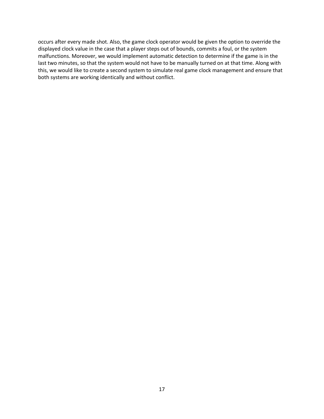occurs after every made shot. Also, the game clock operator would be given the option to override the displayed clock value in the case that a player steps out of bounds, commits a foul, or the system malfunctions. Moreover, we would implement automatic detection to determine if the game is in the last two minutes, so that the system would not have to be manually turned on at that time. Along with this, we would like to create a second system to simulate real game clock management and ensure that both systems are working identically and without conflict.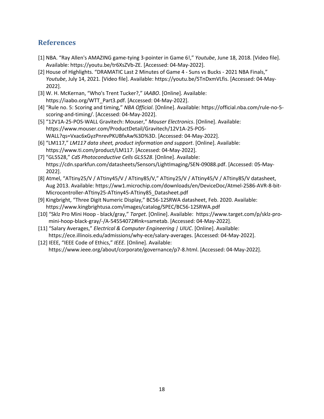## **References**

- [1] NBA. "Ray Allen's AMAZING game-tying 3-pointer in Game 6!," *Youtube*, June 18, 2018. [Video file]. Available: https://youtu.be/tr6XsZVb-ZE. [Accessed: 04-May-2022].
- [2] House of Highlights. "DRAMATIC Last 2 Minutes of Game 4 Suns vs Bucks 2021 NBA Finals," *Youtube*, July 14, 2021. [Video file]. Available: https://youtu.be/5TnDxmVLfis. [Accessed: 04-May-2022].
- [3] W. H. McKernan, "Who's Trent Tucker?," *IAABO*. [Online]. Available: https://iaabo.org/WTT\_Part3.pdf. [Accessed: 04-May-2022].
- [4] "Rule no. 5: Scoring and timing," *NBA Official*. [Online]. Available: https://official.nba.com/rule-no-5 scoring-and-timing/. [Accessed: 04-May-2022].
- [5] "12V1A-25-POS-WALL Gravitech: Mouser," *Mouser Electronics*. [Online]. Available: https://www.mouser.com/ProductDetail/Gravitech/12V1A-25-POS- WALL?qs=Vxac6xGyzPnrevPKUBfxAw%3D%3D. [Accessed: 04-May-2022].
- [6] "LM117," *LM117 data sheet, product information and support*. [Online]. Available: https://www.ti.com/product/LM117. [Accessed: 04-May-2022].
- [7] "GL5528," *CdS Photoconductive Cells GL5528*. [Online]. Available: https://cdn.sparkfun.com/datasheets/Sensors/LightImaging/SEN-09088.pdf. [Accessed: 05-May- 2022].
- [8] Atmel, "ATtiny25/V / ATtiny45/V / ATtiny85/V," ATtiny25/V / ATtiny45/V / ATtiny85/V datasheet, Aug 2013. Available: https://ww1.microchip.com/downloads/en/DeviceDoc/Atmel-2586-AVR-8-bit- Microcontroller-ATtiny25-ATtiny45-ATtiny85\_Datasheet.pdf
- [9] Kingbright, "Three Digit Numeric Display," BC56-12SRWA datasheet, Feb. 2020. Available: https://www.kingbrightusa.com/images/catalog/SPEC/BC56-12SRWA.pdf
- [10] "Sklz Pro Mini Hoop black/gray," *Target*. [Online]. Available: https://www.target.com/p/sklz-pro mini-hoop-black-gray/-/A-54554072#lnk=sametab. [Accessed: 04-May-2022].
- [11] "Salary Averages," *Electrical & Computer Engineering | UIUC*. [Online]. Available: https://ece.illinois.edu/admissions/why-ece/salary-averages. [Accessed: 04-May-2022].
- [12] IEEE, "IEEE Code of Ethics," *IEEE*. [Online]. Available: https://www.ieee.org/about/corporate/governance/p7-8.html. [Accessed: 04-May-2022].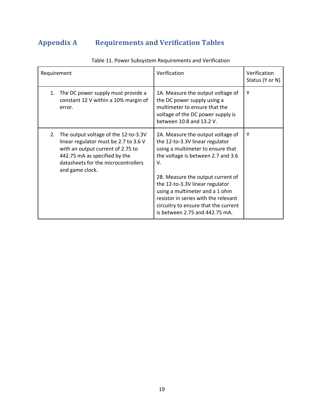# **Appendix A Requirements and Verification Tables**

| Requirement |                                                                                                                                                                                                               | Verification                                                                                                                                                                                                                                                                                                                                                                      | Verification<br>Status (Y or N) |
|-------------|---------------------------------------------------------------------------------------------------------------------------------------------------------------------------------------------------------------|-----------------------------------------------------------------------------------------------------------------------------------------------------------------------------------------------------------------------------------------------------------------------------------------------------------------------------------------------------------------------------------|---------------------------------|
| 1.          | The DC power supply must provide a<br>constant 12 V within a 10% margin of<br>error.                                                                                                                          | 1A. Measure the output voltage of<br>the DC power supply using a<br>multimeter to ensure that the<br>voltage of the DC power supply is<br>between 10.8 and 13.2 V.                                                                                                                                                                                                                | Y                               |
| 2.          | The output voltage of the 12-to-3.3V<br>linear regulator must be 2.7 to 3.6 V<br>with an output current of 2.75 to<br>442.75 mA as specified by the<br>datasheets for the microcontrollers<br>and game clock. | 2A. Measure the output voltage of<br>the 12-to-3.3V linear regulator<br>using a multimeter to ensure that<br>the voltage is between 2.7 and 3.6<br>V.<br>2B. Measure the output current of<br>the 12-to-3.3V linear regulator<br>using a multimeter and a 1 ohm<br>resistor in series with the relevant<br>circuitry to ensure that the current<br>is between 2.75 and 442.75 mA. | Y                               |

Table 11. Power Subsystem Requirements and Verification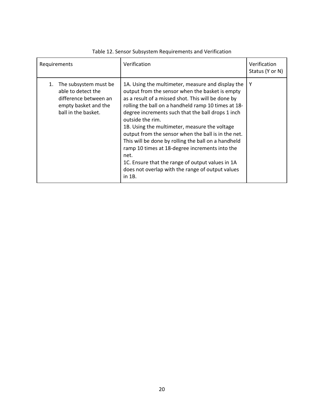| Requirements                                                                                                              | Verification                                                                                                                                                                                                                                                                                                                                                                                                                                                                                                                                                                                                                          | Verification<br>Status (Y or N) |
|---------------------------------------------------------------------------------------------------------------------------|---------------------------------------------------------------------------------------------------------------------------------------------------------------------------------------------------------------------------------------------------------------------------------------------------------------------------------------------------------------------------------------------------------------------------------------------------------------------------------------------------------------------------------------------------------------------------------------------------------------------------------------|---------------------------------|
| The subsystem must be<br>1.<br>able to detect the<br>difference between an<br>empty basket and the<br>ball in the basket. | 1A. Using the multimeter, measure and display the<br>output from the sensor when the basket is empty<br>as a result of a missed shot. This will be done by<br>rolling the ball on a handheld ramp 10 times at 18-<br>degree increments such that the ball drops 1 inch<br>outside the rim.<br>1B. Using the multimeter, measure the voltage<br>output from the sensor when the ball is in the net.<br>This will be done by rolling the ball on a handheld<br>ramp 10 times at 18-degree increments into the<br>net.<br>1C. Ensure that the range of output values in 1A<br>does not overlap with the range of output values<br>in 1B. | Y                               |

#### Table 12. Sensor Subsystem Requirements and Verification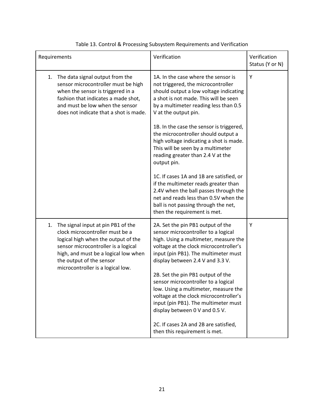| Requirements |                                                                                                                                                                                                                                                              | Verification                                                                                                                                                                                                                                                                                                                                                                                                                                                                                                                                                                                                                                                                                       | Verification<br>Status (Y or N) |
|--------------|--------------------------------------------------------------------------------------------------------------------------------------------------------------------------------------------------------------------------------------------------------------|----------------------------------------------------------------------------------------------------------------------------------------------------------------------------------------------------------------------------------------------------------------------------------------------------------------------------------------------------------------------------------------------------------------------------------------------------------------------------------------------------------------------------------------------------------------------------------------------------------------------------------------------------------------------------------------------------|---------------------------------|
| 1.           | The data signal output from the<br>sensor microcontroller must be high<br>when the sensor is triggered in a<br>fashion that indicates a made shot,<br>and must be low when the sensor<br>does not indicate that a shot is made.                              | 1A. In the case where the sensor is<br>not triggered, the microcontroller<br>should output a low voltage indicating<br>a shot is not made. This will be seen<br>by a multimeter reading less than 0.5<br>V at the output pin.<br>1B. In the case the sensor is triggered,<br>the microcontroller should output a<br>high voltage indicating a shot is made.<br>This will be seen by a multimeter<br>reading greater than 2.4 V at the<br>output pin.<br>1C. If cases 1A and 1B are satisfied, or<br>if the multimeter reads greater than<br>2.4V when the ball passes through the<br>net and reads less than 0.5V when the<br>ball is not passing through the net,<br>then the requirement is met. | Υ                               |
| 1.           | The signal input at pin PB1 of the<br>clock microcontroller must be a<br>logical high when the output of the<br>sensor microcontroller is a logical<br>high, and must be a logical low when<br>the output of the sensor<br>microcontroller is a logical low. | 2A. Set the pin PB1 output of the<br>sensor microcontroller to a logical<br>high. Using a multimeter, measure the<br>voltage at the clock microcontroller's<br>input (pin PB1). The multimeter must<br>display between 2.4 V and 3.3 V.<br>2B. Set the pin PB1 output of the<br>sensor microcontroller to a logical<br>low. Using a multimeter, measure the<br>voltage at the clock microcontroller's<br>input (pin PB1). The multimeter must<br>display between 0 V and 0.5 V.<br>2C. If cases 2A and 2B are satisfied,<br>then this requirement is met.                                                                                                                                          | Υ                               |

#### Table 13. Control & Processing Subsystem Requirements and Verification